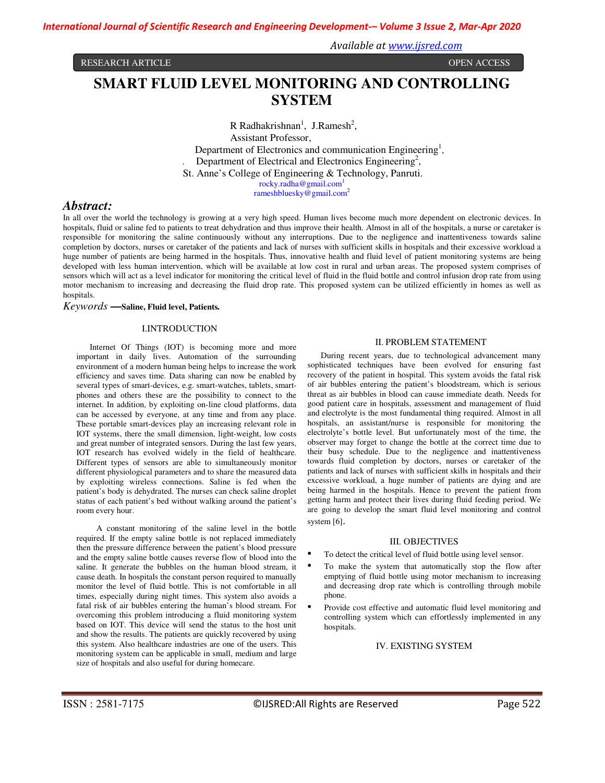RESEARCH ARTICLE **CONSERVERS IN A SECOND CONSERVERS** OPEN ACCESS **OPEN ACCESS** 

*Available at www.ijsred.com*

# **SMART FLUID LEVEL MONITORING AND CONTROLLING SYSTEM**

 $R$  Radhakrishnan<sup>1</sup>, J.Ramesh<sup>2</sup>, Assistant Professor, Department of Electronics and communication Engineering<sup>1</sup>, Department of Electrical and Electronics Engineering<sup>2</sup>, St. Anne's College of Engineering & Technology, Panruti. rocky.radha@gmail.com<sup>1</sup>

rameshbluesky@gmail.com<sup>2</sup>

# *Abstract:*

In all over the world the technology is growing at a very high speed. Human lives become much more dependent on electronic devices. In hospitals, fluid or saline fed to patients to treat dehydration and thus improve their health. Almost in all of the hospitals, a nurse or caretaker is responsible for monitoring the saline continuously without any interruptions. Due to the negligence and inattentiveness towards saline completion by doctors, nurses or caretaker of the patients and lack of nurses with sufficient skills in hospitals and their excessive workload a huge number of patients are being harmed in the hospitals. Thus, innovative health and fluid level of patient monitoring systems are being developed with less human intervention, which will be available at low cost in rural and urban areas. The proposed system comprises of sensors which will act as a level indicator for monitoring the critical level of fluid in the fluid bottle and control infusion drop rate from using motor mechanism to increasing and decreasing the fluid drop rate. This proposed system can be utilized efficiently in homes as well as hospitals.

# *Keywords* **—Saline, Fluid level, Patients***.*

### I.INTRODUCTION

Internet Of Things (IOT) is becoming more and more important in daily lives. Automation of the surrounding environment of a modern human being helps to increase the work efficiency and saves time. Data sharing can now be enabled by several types of smart-devices, e.g. smart-watches, tablets, smartphones and others these are the possibility to connect to the internet. In addition, by exploiting on-line cloud platforms, data can be accessed by everyone, at any time and from any place. These portable smart-devices play an increasing relevant role in IOT systems, there the small dimension, light-weight, low costs and great number of integrated sensors. During the last few years, IOT research has evolved widely in the field of healthcare. Different types of sensors are able to simultaneously monitor different physiological parameters and to share the measured data by exploiting wireless connections. Saline is fed when the patient's body is dehydrated. The nurses can check saline droplet status of each patient's bed without walking around the patient's room every hour.

A constant monitoring of the saline level in the bottle required. If the empty saline bottle is not replaced immediately then the pressure difference between the patient's blood pressure and the empty saline bottle causes reverse flow of blood into the saline. It generate the bubbles on the human blood stream, it cause death. In hospitals the constant person required to manually monitor the level of fluid bottle. This is not comfortable in all times, especially during night times. This system also avoids a fatal risk of air bubbles entering the human's blood stream. For overcoming this problem introducing a fluid monitoring system based on IOT. This device will send the status to the host unit and show the results. The patients are quickly recovered by using this system. Also healthcare industries are one of the users. This monitoring system can be applicable in small, medium and large size of hospitals and also useful for during homecare.

### II. PROBLEM STATEMENT

During recent years, due to technological advancement many sophisticated techniques have been evolved for ensuring fast recovery of the patient in hospital. This system avoids the fatal risk of air bubbles entering the patient's bloodstream, which is serious threat as air bubbles in blood can cause immediate death. Needs for good patient care in hospitals, assessment and management of fluid and electrolyte is the most fundamental thing required. Almost in all hospitals, an assistant/nurse is responsible for monitoring the electrolyte's bottle level. But unfortunately most of the time, the observer may forget to change the bottle at the correct time due to their busy schedule. Due to the negligence and inattentiveness towards fluid completion by doctors, nurses or caretaker of the patients and lack of nurses with sufficient skills in hospitals and their excessive workload, a huge number of patients are dying and are being harmed in the hospitals. Hence to prevent the patient from getting harm and protect their lives during fluid feeding period. We are going to develop the smart fluid level monitoring and control system [6].

### III. OBJECTIVES

- To detect the critical level of fluid bottle using level sensor.
- To make the system that automatically stop the flow after emptying of fluid bottle using motor mechanism to increasing and decreasing drop rate which is controlling through mobile phone.
- Provide cost effective and automatic fluid level monitoring and controlling system which can effortlessly implemented in any hospitals.

### IV. EXISTING SYSTEM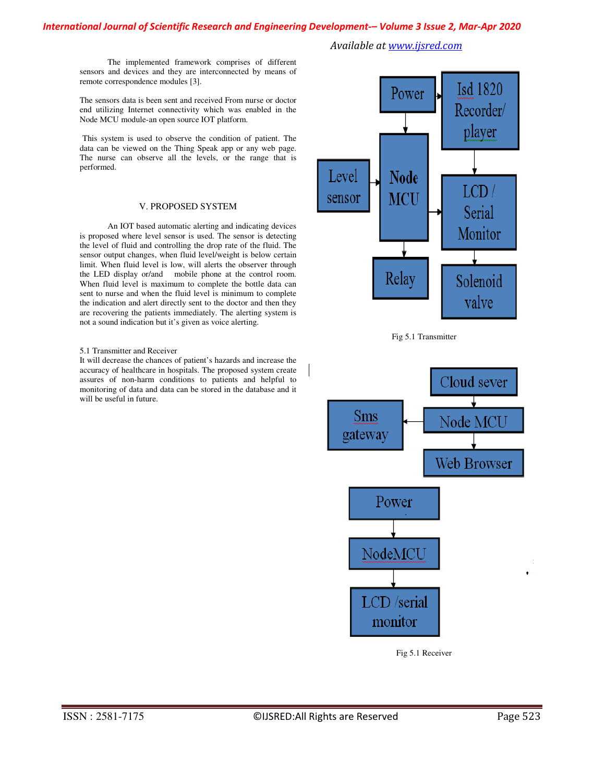# *International Journal of Scientific Research and Engineering Development-– Volume 3 Issue 2, Mar-Apr 2020*

 The implemented framework comprises of different sensors and devices and they are interconnected by means of remote correspondence modules [3].

The sensors data is been sent and received From nurse or doctor end utilizing Internet connectivity which was enabled in the Node MCU module-an open source IOT platform.

This system is used to observe the condition of patient. The data can be viewed on the Thing Speak app or any web page. The nurse can observe all the levels, or the range that is performed.

# V. PROPOSED SYSTEM

 An IOT based automatic alerting and indicating devices is proposed where level sensor is used. The sensor is detecting the level of fluid and controlling the drop rate of the fluid. The sensor output changes, when fluid level/weight is below certain limit. When fluid level is low, will alerts the observer through the LED display or/and mobile phone at the control room. When fluid level is maximum to complete the bottle data can sent to nurse and when the fluid level is minimum to complete the indication and alert directly sent to the doctor and then they are recovering the patients immediately. The alerting system is not a sound indication but it's given as voice alerting.

### 5.1 Transmitter and Receiver

It will decrease the chances of patient's hazards and increase the accuracy of healthcare in hospitals. The proposed system create assures of non-harm conditions to patients and helpful to monitoring of data and data can be stored in the database and it will be useful in future.



*Available at www.ijsred.com*





Fig 5.1 Receiver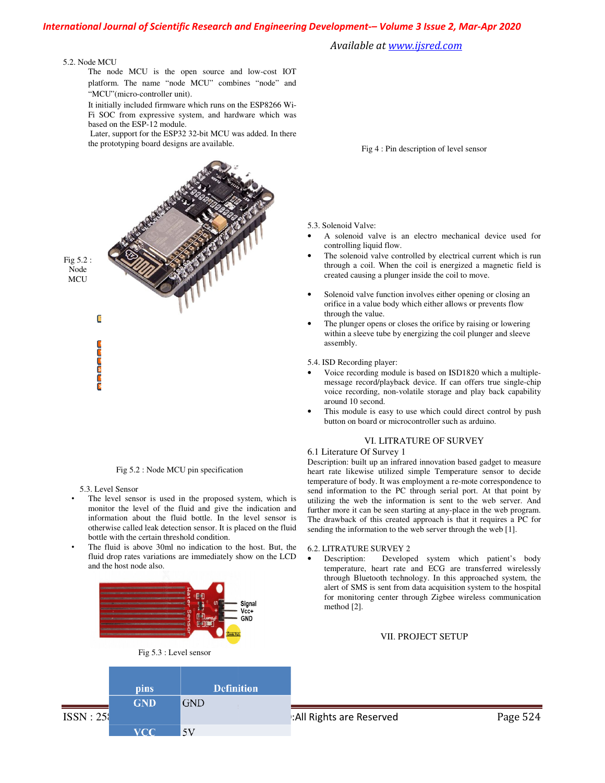# *International Journal of Scientific Research and Engineering Development Development-– Volume 3 Issue 2 2, Mar-Apr 2020*

*Available at www.ijsred.com*

#### 5.2. Node MCU

The node MCU is the open source and low-cost IOT platform. The name "node MCU" combines "node" and "MCU"(micro-controller unit).

It initially included firmware which runs on the ESP8266 Wi-Fi SOC from expressive system, and hardware which was based on the ESP-12 module.

 Later, support for the ESP32 32-bit MCU was added. In there the prototyping board designs are available.



Fig 5.2 : Node MCU pin specification

5.3. Level Sensor

 $ISSN:258$ 

- The level sensor is used in the proposed system, which is monitor the level of the fluid and give the indication and information about the fluid bottle. In the level sensor is otherwise called leak detection sensor. It is placed on the fluid bottle with the certain threshold condition.
- The fluid is above 30ml no indication to the host. But, the fluid drop rates variations are immediately show on the LCD and the host node also.



Fig 5.3 : Level sensor

**GND** 

 $5V$ 

**Definition** 

pins

**GND** 

**VCC** 

- 5.3. Solenoid Valve:
- A solenoid valve is an electro mechanical device used for controlling liquid flow.
- The solenoid valve controlled by electrical current which is run through a coil. When the coil is energized a magnetic field is created causing a plunger inside the coil to move. Fig 4 : Pin description of level sensor<br>Solenoid Valve:<br>A solenoid valve is an electro mechanical device used<br>controlling liquid flow.<br>The solenoid valve controlled by electrical current which is<br>through a coil. When the c
- Solenoid valve function involves either opening or closing an orifice in a value body which either allows or preven through the value.
- The plunger opens or closes the orifice by raising or lowering within a sleeve tube by energizing the coil plunger and sleeve assembly. • The plunger opens or closes the orifice by raising or lowering<br>within a sleeve tube by energizing the coil plunger and sleeve<br>assembly.<br>5.4. ISD Recording player:<br>• Voice recording module is based on ISD1820 which a mult

5.4. ISD Recording player:

- message record/playback device. If can offers true single-chip voice recording, non-volatile storage and play back capability around 10 second.
- This module is easy to use which could direct control by push button on board or microcontroller such as arduino. voice recording, non-volatile storage and play baaround 10 second.<br>This module is easy to use which could direct con<br>button on board or microcontroller such as arduino.

# VI. LITRATURE OF SURVEY

# 6.1 Literature Of Survey 1

Description: built up an infrared innovation based gadget to measure heart rate likewise utilized simple Temperature sensor to decide temperature of body. It was employment a re-mote correspondence to send information to the PC through serial port. At that point by utilizing the web the information is sent to the web server. And further more it can be seen starting at any-place in the web program. The drawback of this created approach is that it requires a PC for The drawback of this created approach is that it requires a PC sending the information to the web server through the web [1]. Description: built up an infrared innovation based gadget to measure<br>heart rate likewise utilized simple Temperature sensor to decide<br>temperature of body. It was employment a re-mote correspondence to

### 6.2. LITRATURE SURVEY 2

• Description: Developed system which patient's body Description: Developed system which patient's body<br>temperature, heart rate and ECG are transferred wirelessly through Bluetooth technology. In this approached system, the alert of SMS is sent from data acquisition system to the hospital for monitoring center through Zigbee wireless communication method [2]. through Bluetooth technology. In this<br>alert of SMS is sent from data acquisiti<br>for monitoring center through Zigbee

#### VII. PROJECT SETUP .

### : All Rights are Reserved